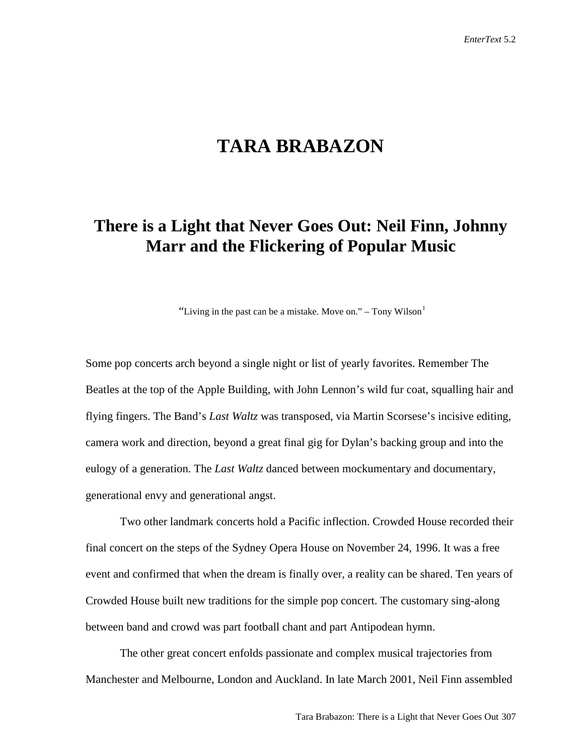# **TARA BRABAZON**

## **There is a Light that Never Goes Out: Neil Finn, Johnny Marr and the Flickering of Popular Music**

"Living in the past can be a mistake. Move on." – Tony Wilson $<sup>1</sup>$  $<sup>1</sup>$  $<sup>1</sup>$ </sup>

Some pop concerts arch beyond a single night or list of yearly favorites. Remember The Beatles at the top of the Apple Building, with John Lennon's wild fur coat, squalling hair and flying fingers. The Band's *Last Waltz* was transposed, via Martin Scorsese's incisive editing, camera work and direction, beyond a great final gig for Dylan's backing group and into the eulogy of a generation. The *Last Waltz* danced between mockumentary and documentary, generational envy and generational angst.

Two other landmark concerts hold a Pacific inflection. Crowded House recorded their final concert on the steps of the Sydney Opera House on November 24, 1996. It was a free event and confirmed that when the dream is finally over, a reality can be shared. Ten years of Crowded House built new traditions for the simple pop concert. The customary sing-along between band and crowd was part football chant and part Antipodean hymn.

The other great concert enfolds passionate and complex musical trajectories from Manchester and Melbourne, London and Auckland. In late March 2001, Neil Finn assembled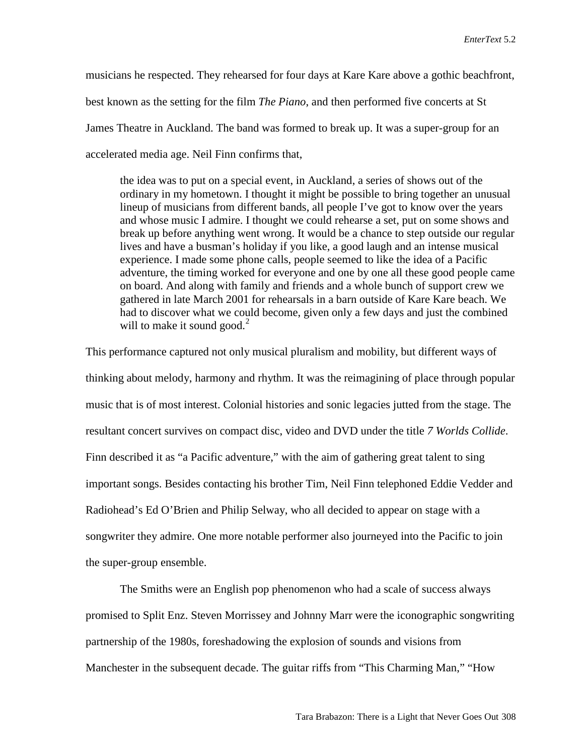musicians he respected. They rehearsed for four days at Kare Kare above a gothic beachfront, best known as the setting for the film *The Piano*, and then performed five concerts at St James Theatre in Auckland. The band was formed to break up. It was a super-group for an accelerated media age. Neil Finn confirms that,

the idea was to put on a special event, in Auckland, a series of shows out of the ordinary in my hometown. I thought it might be possible to bring together an unusual lineup of musicians from different bands, all people I've got to know over the years and whose music I admire. I thought we could rehearse a set, put on some shows and break up before anything went wrong. It would be a chance to step outside our regular lives and have a busman's holiday if you like, a good laugh and an intense musical experience. I made some phone calls, people seemed to like the idea of a Pacific adventure, the timing worked for everyone and one by one all these good people came on board. And along with family and friends and a whole bunch of support crew we gathered in late March 2001 for rehearsals in a barn outside of Kare Kare beach. We had to discover what we could become, given only a few days and just the combined will to make it sound good. $2$ 

This performance captured not only musical pluralism and mobility, but different ways of thinking about melody, harmony and rhythm. It was the reimagining of place through popular music that is of most interest. Colonial histories and sonic legacies jutted from the stage. The resultant concert survives on compact disc, video and DVD under the title *7 Worlds Collide*. Finn described it as "a Pacific adventure," with the aim of gathering great talent to sing important songs. Besides contacting his brother Tim, Neil Finn telephoned Eddie Vedder and Radiohead's Ed O'Brien and Philip Selway, who all decided to appear on stage with a songwriter they admire. One more notable performer also journeyed into the Pacific to join the super-group ensemble.

The Smiths were an English pop phenomenon who had a scale of success always promised to Split Enz. Steven Morrissey and Johnny Marr were the iconographic songwriting partnership of the 1980s, foreshadowing the explosion of sounds and visions from Manchester in the subsequent decade. The guitar riffs from "This Charming Man," "How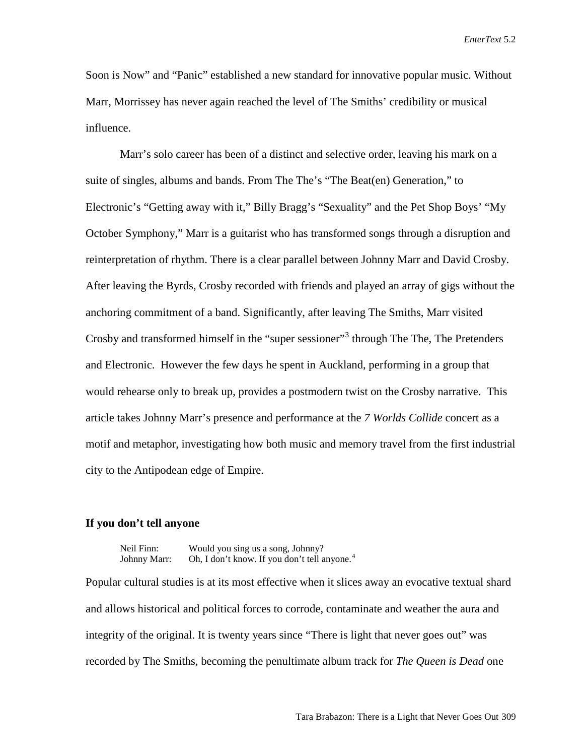Soon is Now" and "Panic" established a new standard for innovative popular music. Without Marr, Morrissey has never again reached the level of The Smiths' credibility or musical influence.

Marr's solo career has been of a distinct and selective order, leaving his mark on a suite of singles, albums and bands. From The The's "The Beat(en) Generation," to Electronic's "Getting away with it," Billy Bragg's "Sexuality" and the Pet Shop Boys' "My October Symphony," Marr is a guitarist who has transformed songs through a disruption and reinterpretation of rhythm. There is a clear parallel between Johnny Marr and David Crosby. After leaving the Byrds, Crosby recorded with friends and played an array of gigs without the anchoring commitment of a band. Significantly, after leaving The Smiths, Marr visited Crosby and transformed himself in the "super sessioner"<sup>[3](#page-18-2)</sup> through The The, The Pretenders and Electronic. However the few days he spent in Auckland, performing in a group that would rehearse only to break up, provides a postmodern twist on the Crosby narrative. This article takes Johnny Marr's presence and performance at the *7 Worlds Collide* concert as a motif and metaphor, investigating how both music and memory travel from the first industrial city to the Antipodean edge of Empire.

#### **If you don't tell anyone**

| Neil Finn:   | Would you sing us a song, Johnny?                        |
|--------------|----------------------------------------------------------|
| Johnny Marr: | Oh, I don't know. If you don't tell anyone. <sup>4</sup> |

Popular cultural studies is at its most effective when it slices away an evocative textual shard and allows historical and political forces to corrode, contaminate and weather the aura and integrity of the original. It is twenty years since "There is light that never goes out" was recorded by The Smiths, becoming the penultimate album track for *The Queen is Dead* one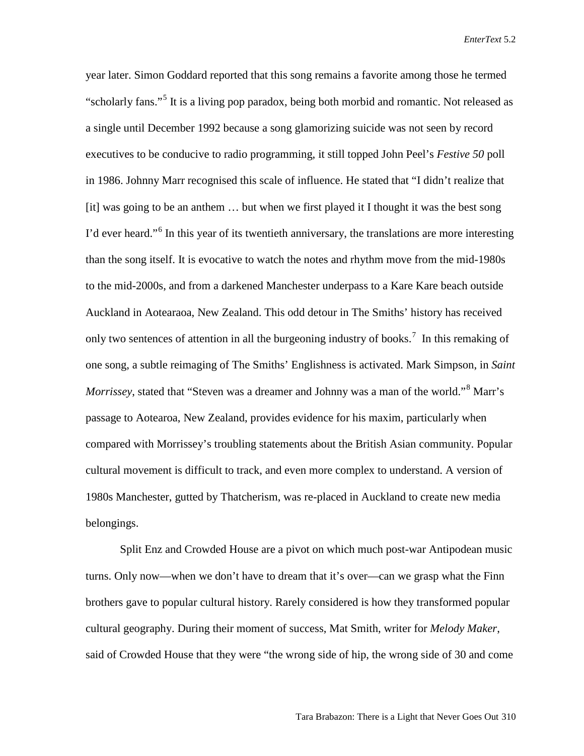year later. Simon Goddard reported that this song remains a favorite among those he termed "scholarly fans."[5](#page-19-0) It is a living pop paradox, being both morbid and romantic. Not released as a single until December 1992 because a song glamorizing suicide was not seen by record executives to be conducive to radio programming, it still topped John Peel's *Festive 50* poll in 1986. Johnny Marr recognised this scale of influence. He stated that "I didn't realize that [it] was going to be an anthem … but when we first played it I thought it was the best song I'd ever heard."[6](#page-19-1) In this year of its twentieth anniversary, the translations are more interesting than the song itself. It is evocative to watch the notes and rhythm move from the mid-1980s to the mid-2000s, and from a darkened Manchester underpass to a Kare Kare beach outside Auckland in Aotearaoa, New Zealand. This odd detour in The Smiths' history has received only two sentences of attention in all the burgeoning industry of books.<sup>[7](#page-19-2)</sup> In this remaking of one song, a subtle reimaging of The Smiths' Englishness is activated. Mark Simpson, in *Saint Morrissey*, stated that "Steven was a dreamer and Johnny was a man of the world."[8](#page-19-3) Marr's passage to Aotearoa, New Zealand, provides evidence for his maxim, particularly when compared with Morrissey's troubling statements about the British Asian community. Popular cultural movement is difficult to track, and even more complex to understand. A version of 1980s Manchester, gutted by Thatcherism, was re-placed in Auckland to create new media belongings.

Split Enz and Crowded House are a pivot on which much post-war Antipodean music turns. Only now—when we don't have to dream that it's over—can we grasp what the Finn brothers gave to popular cultural history. Rarely considered is how they transformed popular cultural geography. During their moment of success, Mat Smith, writer for *Melody Maker*, said of Crowded House that they were "the wrong side of hip, the wrong side of 30 and come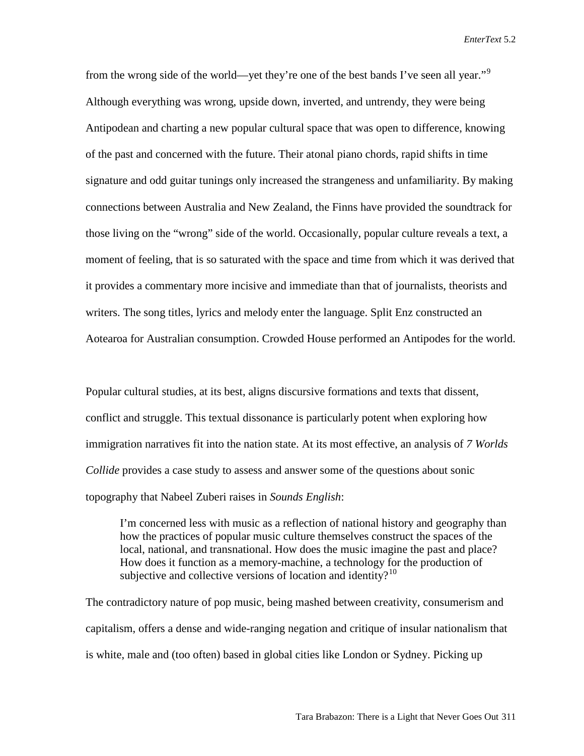from the wrong side of the world—yet they're one of the best bands I've seen all year."<sup>[9](#page-19-4)</sup> Although everything was wrong, upside down, inverted, and untrendy, they were being Antipodean and charting a new popular cultural space that was open to difference, knowing of the past and concerned with the future. Their atonal piano chords, rapid shifts in time signature and odd guitar tunings only increased the strangeness and unfamiliarity. By making connections between Australia and New Zealand, the Finns have provided the soundtrack for those living on the "wrong" side of the world. Occasionally, popular culture reveals a text, a moment of feeling, that is so saturated with the space and time from which it was derived that it provides a commentary more incisive and immediate than that of journalists, theorists and writers. The song titles, lyrics and melody enter the language. Split Enz constructed an Aotearoa for Australian consumption. Crowded House performed an Antipodes for the world.

Popular cultural studies, at its best, aligns discursive formations and texts that dissent, conflict and struggle. This textual dissonance is particularly potent when exploring how immigration narratives fit into the nation state. At its most effective, an analysis of *7 Worlds Collide* provides a case study to assess and answer some of the questions about sonic topography that Nabeel Zuberi raises in *Sounds English*:

I'm concerned less with music as a reflection of national history and geography than how the practices of popular music culture themselves construct the spaces of the local, national, and transnational. How does the music imagine the past and place? How does it function as a memory-machine, a technology for the production of subjective and collective versions of location and identity? $10$ 

The contradictory nature of pop music, being mashed between creativity, consumerism and capitalism, offers a dense and wide-ranging negation and critique of insular nationalism that is white, male and (too often) based in global cities like London or Sydney. Picking up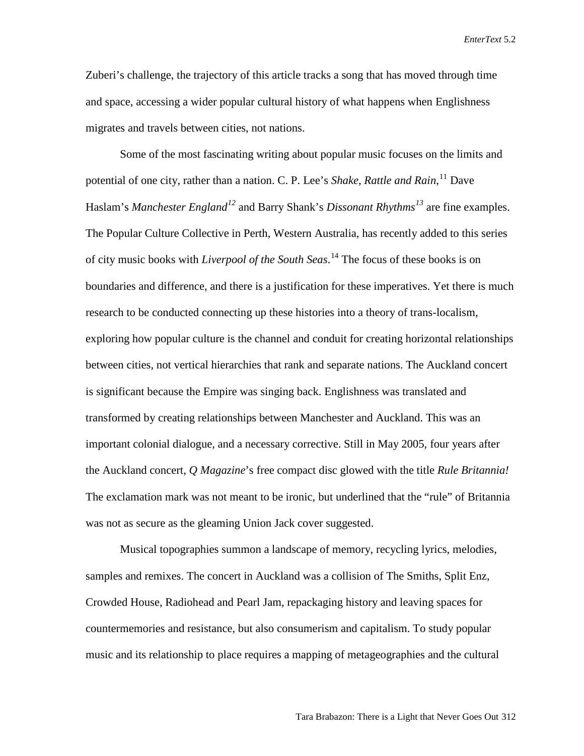Zuberi's challenge, the trajectory of this article tracks a song that has moved through time and space, accessing a wider popular cultural history of what happens when Englishness migrates and travels between cities, not nations.

Some of the most fascinating writing about popular music focuses on the limits and potential of one city, rather than a nation. C. P. Lee's *Shake, Rattle and Rain*, [11](#page-19-6) Dave Haslam's *Manchester England[12](#page-19-7)* and Barry Shank's *Dissonant Rhythms[13](#page-19-8)* are fine examples. The Popular Culture Collective in Perth, Western Australia, has recently added to this series of city music books with *Liverpool of the South Seas*. [14](#page-19-9) The focus of these books is on boundaries and difference, and there is a justification for these imperatives. Yet there is much research to be conducted connecting up these histories into a theory of trans-localism, exploring how popular culture is the channel and conduit for creating horizontal relationships between cities, not vertical hierarchies that rank and separate nations. The Auckland concert is significant because the Empire was singing back. Englishness was translated and transformed by creating relationships between Manchester and Auckland. This was an important colonial dialogue, and a necessary corrective. Still in May 2005, four years after the Auckland concert, *Q Magazine*'s free compact disc glowed with the title *Rule Britannia!* The exclamation mark was not meant to be ironic, but underlined that the "rule" of Britannia was not as secure as the gleaming Union Jack cover suggested.

Musical topographies summon a landscape of memory, recycling lyrics, melodies, samples and remixes. The concert in Auckland was a collision of The Smiths, Split Enz, Crowded House, Radiohead and Pearl Jam, repackaging history and leaving spaces for countermemories and resistance, but also consumerism and capitalism. To study popular music and its relationship to place requires a mapping of metageographies and the cultural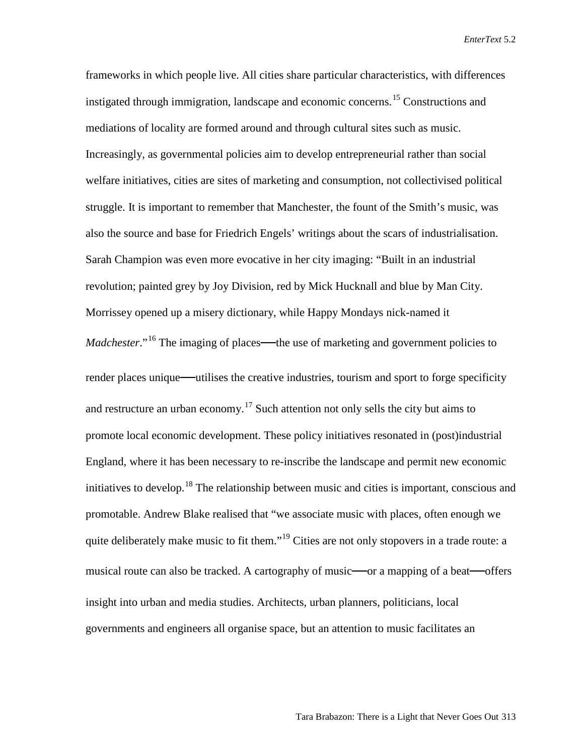frameworks in which people live. All cities share particular characteristics, with differences instigated through immigration, landscape and economic concerns.[15](#page-19-10) Constructions and mediations of locality are formed around and through cultural sites such as music. Increasingly, as governmental policies aim to develop entrepreneurial rather than social welfare initiatives, cities are sites of marketing and consumption, not collectivised political struggle. It is important to remember that Manchester, the fount of the Smith's music, was also the source and base for Friedrich Engels' writings about the scars of industrialisation. Sarah Champion was even more evocative in her city imaging: "Built in an industrial revolution; painted grey by Joy Division, red by Mick Hucknall and blue by Man City. Morrissey opened up a misery dictionary, while Happy Mondays nick-named it *Madchester*."<sup>[16](#page-19-11)</sup> The imaging of places—the use of marketing and government policies to render places unique**—**utilises the creative industries, tourism and sport to forge specificity and restructure an urban economy.<sup>[17](#page-19-12)</sup> Such attention not only sells the city but aims to promote local economic development. These policy initiatives resonated in (post)industrial England, where it has been necessary to re-inscribe the landscape and permit new economic initiatives to develop.<sup>[18](#page-19-13)</sup> The relationship between music and cities is important, conscious and promotable. Andrew Blake realised that "we associate music with places, often enough we quite deliberately make music to fit them."<sup>[19](#page-19-14)</sup> Cities are not only stopovers in a trade route: a musical route can also be tracked. A cartography of music**—**or a mapping of a beat**—**offers insight into urban and media studies. Architects, urban planners, politicians, local governments and engineers all organise space, but an attention to music facilitates an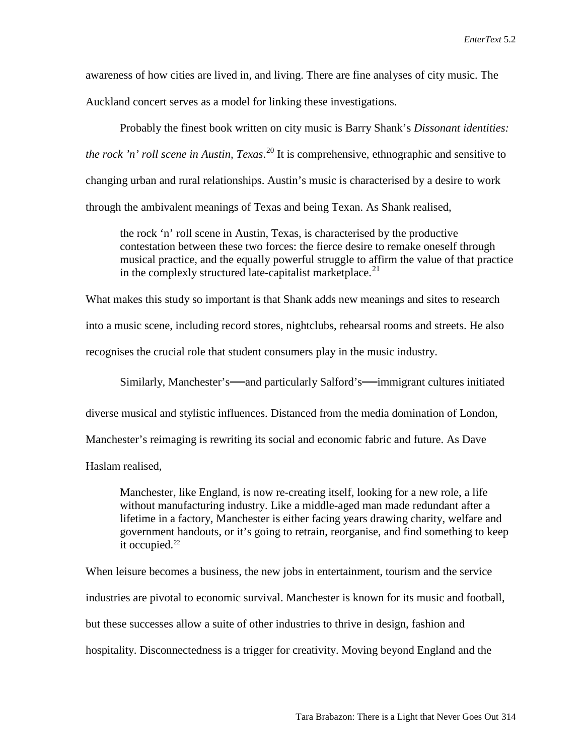awareness of how cities are lived in, and living. There are fine analyses of city music. The Auckland concert serves as a model for linking these investigations.

Probably the finest book written on city music is Barry Shank's *Dissonant identities: the rock 'n' roll scene in Austin, Texas*. [20](#page-19-15) It is comprehensive, ethnographic and sensitive to changing urban and rural relationships. Austin's music is characterised by a desire to work through the ambivalent meanings of Texas and being Texan. As Shank realised,

the rock 'n' roll scene in Austin, Texas, is characterised by the productive contestation between these two forces: the fierce desire to remake oneself through musical practice, and the equally powerful struggle to affirm the value of that practice in the complexly structured late-capitalist marketplace.<sup>[21](#page-19-16)</sup>

What makes this study so important is that Shank adds new meanings and sites to research into a music scene, including record stores, nightclubs, rehearsal rooms and streets. He also recognises the crucial role that student consumers play in the music industry.

Similarly, Manchester's**—**and particularly Salford's**—**immigrant cultures initiated

diverse musical and stylistic influences. Distanced from the media domination of London,

Manchester's reimaging is rewriting its social and economic fabric and future. As Dave

Haslam realised,

Manchester, like England, is now re-creating itself, looking for a new role, a life without manufacturing industry. Like a middle-aged man made redundant after a lifetime in a factory, Manchester is either facing years drawing charity, welfare and government handouts, or it's going to retrain, reorganise, and find something to keep it occupied.<sup>[22](#page-19-17)</sup>

When leisure becomes a business, the new jobs in entertainment, tourism and the service industries are pivotal to economic survival. Manchester is known for its music and football, but these successes allow a suite of other industries to thrive in design, fashion and hospitality. Disconnectedness is a trigger for creativity. Moving beyond England and the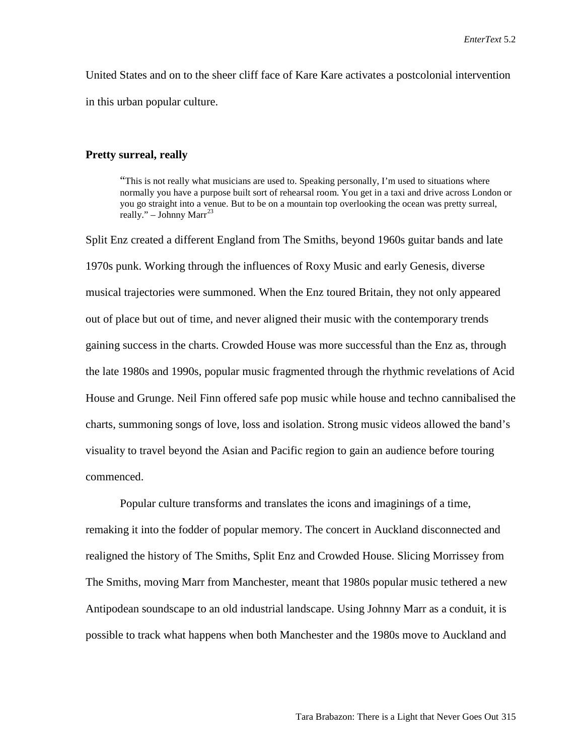United States and on to the sheer cliff face of Kare Kare activates a postcolonial intervention in this urban popular culture.

### **Pretty surreal, really**

"This is not really what musicians are used to. Speaking personally, I'm used to situations where normally you have a purpose built sort of rehearsal room. You get in a taxi and drive across London or you go straight into a venue. But to be on a mountain top overlooking the ocean was pretty surreal, really." – Johnny Marr<sup>23</sup>

Split Enz created a different England from The Smiths, beyond 1960s guitar bands and late 1970s punk. Working through the influences of Roxy Music and early Genesis, diverse musical trajectories were summoned. When the Enz toured Britain, they not only appeared out of place but out of time, and never aligned their music with the contemporary trends gaining success in the charts. Crowded House was more successful than the Enz as, through the late 1980s and 1990s, popular music fragmented through the rhythmic revelations of Acid House and Grunge. Neil Finn offered safe pop music while house and techno cannibalised the charts, summoning songs of love, loss and isolation. Strong music videos allowed the band's visuality to travel beyond the Asian and Pacific region to gain an audience before touring commenced.

Popular culture transforms and translates the icons and imaginings of a time, remaking it into the fodder of popular memory. The concert in Auckland disconnected and realigned the history of The Smiths, Split Enz and Crowded House. Slicing Morrissey from The Smiths, moving Marr from Manchester, meant that 1980s popular music tethered a new Antipodean soundscape to an old industrial landscape. Using Johnny Marr as a conduit, it is possible to track what happens when both Manchester and the 1980s move to Auckland and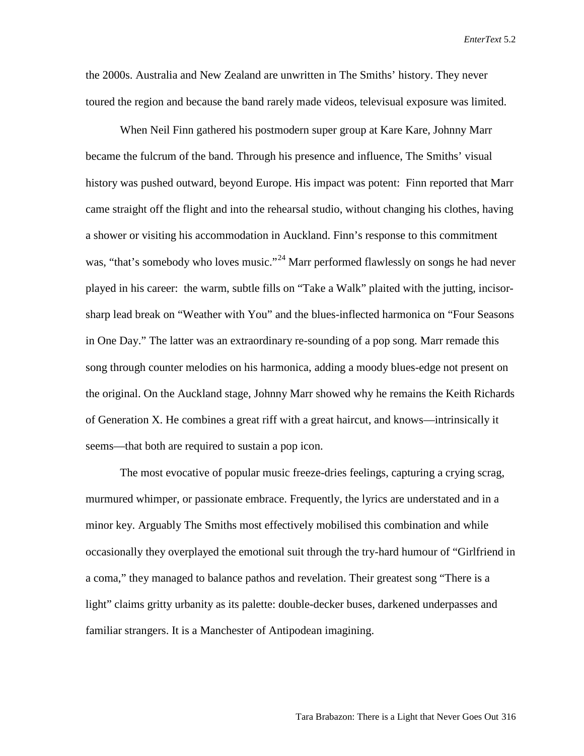the 2000s. Australia and New Zealand are unwritten in The Smiths' history. They never toured the region and because the band rarely made videos, televisual exposure was limited.

When Neil Finn gathered his postmodern super group at Kare Kare, Johnny Marr became the fulcrum of the band. Through his presence and influence, The Smiths' visual history was pushed outward, beyond Europe. His impact was potent: Finn reported that Marr came straight off the flight and into the rehearsal studio, without changing his clothes, having a shower or visiting his accommodation in Auckland. Finn's response to this commitment was, "that's somebody who loves music."<sup>[24](#page-19-19)</sup> Marr performed flawlessly on songs he had never played in his career: the warm, subtle fills on "Take a Walk" plaited with the jutting, incisorsharp lead break on "Weather with You" and the blues-inflected harmonica on "Four Seasons in One Day." The latter was an extraordinary re-sounding of a pop song. Marr remade this song through counter melodies on his harmonica, adding a moody blues-edge not present on the original. On the Auckland stage, Johnny Marr showed why he remains the Keith Richards of Generation X. He combines a great riff with a great haircut, and knows—intrinsically it seems—that both are required to sustain a pop icon.

The most evocative of popular music freeze-dries feelings, capturing a crying scrag, murmured whimper, or passionate embrace. Frequently, the lyrics are understated and in a minor key. Arguably The Smiths most effectively mobilised this combination and while occasionally they overplayed the emotional suit through the try-hard humour of "Girlfriend in a coma," they managed to balance pathos and revelation. Their greatest song "There is a light" claims gritty urbanity as its palette: double-decker buses, darkened underpasses and familiar strangers. It is a Manchester of Antipodean imagining.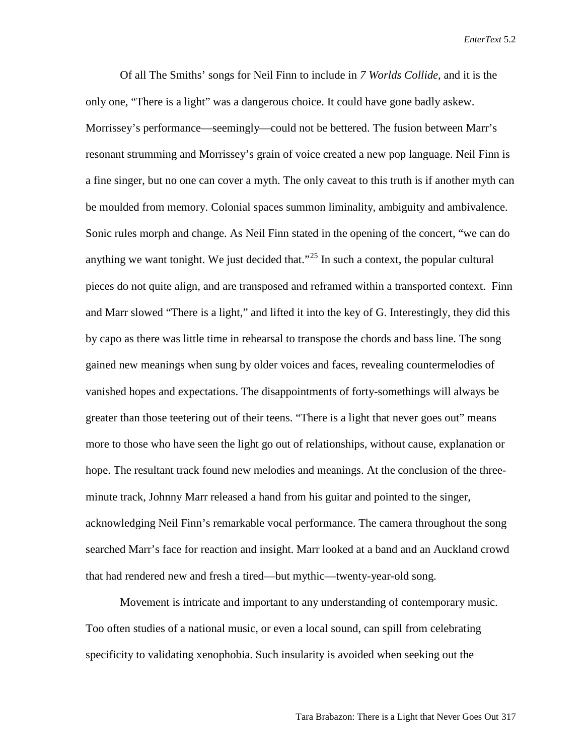Of all The Smiths' songs for Neil Finn to include in *7 Worlds Collide*, and it is the only one, "There is a light" was a dangerous choice. It could have gone badly askew. Morrissey's performance—seemingly—could not be bettered. The fusion between Marr's resonant strumming and Morrissey's grain of voice created a new pop language. Neil Finn is a fine singer, but no one can cover a myth. The only caveat to this truth is if another myth can be moulded from memory. Colonial spaces summon liminality, ambiguity and ambivalence. Sonic rules morph and change. As Neil Finn stated in the opening of the concert, "we can do anything we want tonight. We just decided that."<sup>[25](#page-19-20)</sup> In such a context, the popular cultural pieces do not quite align, and are transposed and reframed within a transported context. Finn and Marr slowed "There is a light," and lifted it into the key of G. Interestingly, they did this by capo as there was little time in rehearsal to transpose the chords and bass line. The song gained new meanings when sung by older voices and faces, revealing countermelodies of vanished hopes and expectations. The disappointments of forty-somethings will always be greater than those teetering out of their teens. "There is a light that never goes out" means more to those who have seen the light go out of relationships, without cause, explanation or hope. The resultant track found new melodies and meanings. At the conclusion of the threeminute track, Johnny Marr released a hand from his guitar and pointed to the singer, acknowledging Neil Finn's remarkable vocal performance. The camera throughout the song searched Marr's face for reaction and insight. Marr looked at a band and an Auckland crowd that had rendered new and fresh a tired—but mythic—twenty-year-old song.

Movement is intricate and important to any understanding of contemporary music. Too often studies of a national music, or even a local sound, can spill from celebrating specificity to validating xenophobia. Such insularity is avoided when seeking out the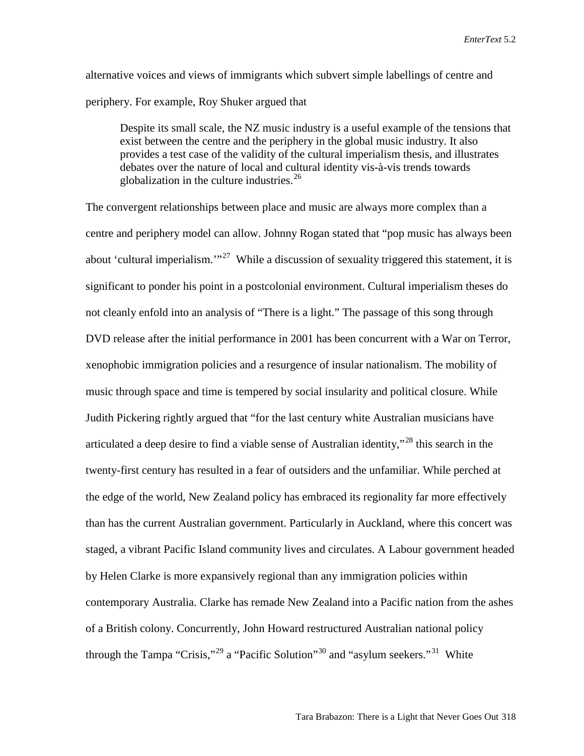alternative voices and views of immigrants which subvert simple labellings of centre and periphery. For example, Roy Shuker argued that

Despite its small scale, the NZ music industry is a useful example of the tensions that exist between the centre and the periphery in the global music industry. It also provides a test case of the validity of the cultural imperialism thesis, and illustrates debates over the nature of local and cultural identity vis-à-vis trends towards globalization in the culture industries. $^{26}$  $^{26}$  $^{26}$ 

The convergent relationships between place and music are always more complex than a centre and periphery model can allow. Johnny Rogan stated that "pop music has always been about 'cultural imperialism.'<sup>27</sup> While a discussion of sexuality triggered this statement, it is significant to ponder his point in a postcolonial environment. Cultural imperialism theses do not cleanly enfold into an analysis of "There is a light." The passage of this song through DVD release after the initial performance in 2001 has been concurrent with a War on Terror, xenophobic immigration policies and a resurgence of insular nationalism. The mobility of music through space and time is tempered by social insularity and political closure. While Judith Pickering rightly argued that "for the last century white Australian musicians have articulated a deep desire to find a viable sense of Australian identity,"[28](#page-19-23) this search in the twenty-first century has resulted in a fear of outsiders and the unfamiliar. While perched at the edge of the world, New Zealand policy has embraced its regionality far more effectively than has the current Australian government. Particularly in Auckland, where this concert was staged, a vibrant Pacific Island community lives and circulates. A Labour government headed by Helen Clarke is more expansively regional than any immigration policies within contemporary Australia. Clarke has remade New Zealand into a Pacific nation from the ashes of a British colony. Concurrently, John Howard restructured Australian national policy through the Tampa "Crisis,"<sup>[29](#page-19-24)</sup> a "Pacific Solution"<sup>[30](#page-19-25)</sup> and "asylum seekers."<sup>31</sup> White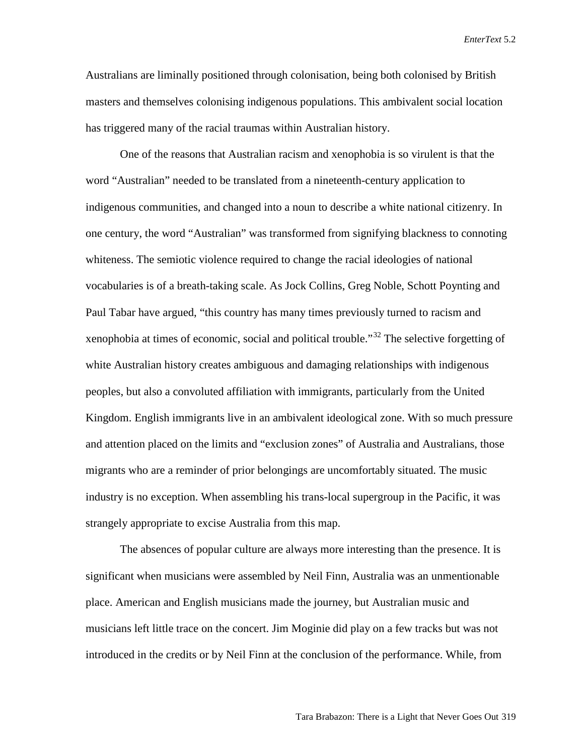Australians are liminally positioned through colonisation, being both colonised by British masters and themselves colonising indigenous populations. This ambivalent social location has triggered many of the racial traumas within Australian history.

One of the reasons that Australian racism and xenophobia is so virulent is that the word "Australian" needed to be translated from a nineteenth-century application to indigenous communities, and changed into a noun to describe a white national citizenry. In one century, the word "Australian" was transformed from signifying blackness to connoting whiteness. The semiotic violence required to change the racial ideologies of national vocabularies is of a breath-taking scale. As Jock Collins, Greg Noble, Schott Poynting and Paul Tabar have argued, "this country has many times previously turned to racism and xenophobia at times of economic, social and political trouble."[32](#page-19-27) The selective forgetting of white Australian history creates ambiguous and damaging relationships with indigenous peoples, but also a convoluted affiliation with immigrants, particularly from the United Kingdom. English immigrants live in an ambivalent ideological zone. With so much pressure and attention placed on the limits and "exclusion zones" of Australia and Australians, those migrants who are a reminder of prior belongings are uncomfortably situated. The music industry is no exception. When assembling his trans-local supergroup in the Pacific, it was strangely appropriate to excise Australia from this map.

The absences of popular culture are always more interesting than the presence. It is significant when musicians were assembled by Neil Finn, Australia was an unmentionable place. American and English musicians made the journey, but Australian music and musicians left little trace on the concert. Jim Moginie did play on a few tracks but was not introduced in the credits or by Neil Finn at the conclusion of the performance. While, from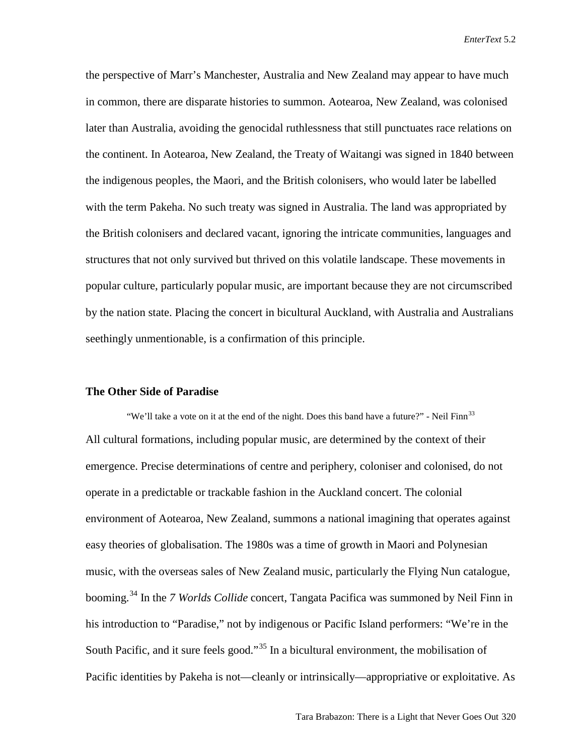the perspective of Marr's Manchester, Australia and New Zealand may appear to have much in common, there are disparate histories to summon. Aotearoa, New Zealand, was colonised later than Australia, avoiding the genocidal ruthlessness that still punctuates race relations on the continent. In Aotearoa, New Zealand, the Treaty of Waitangi was signed in 1840 between the indigenous peoples, the Maori, and the British colonisers, who would later be labelled with the term Pakeha. No such treaty was signed in Australia. The land was appropriated by the British colonisers and declared vacant, ignoring the intricate communities, languages and structures that not only survived but thrived on this volatile landscape. These movements in popular culture, particularly popular music, are important because they are not circumscribed by the nation state. Placing the concert in bicultural Auckland, with Australia and Australians seethingly unmentionable, is a confirmation of this principle.

#### **The Other Side of Paradise**

"We'll take a vote on it at the end of the night. Does this band have a future?" - Neil Finn<sup>[33](#page-19-28)</sup> All cultural formations, including popular music, are determined by the context of their emergence. Precise determinations of centre and periphery, coloniser and colonised, do not operate in a predictable or trackable fashion in the Auckland concert. The colonial environment of Aotearoa, New Zealand, summons a national imagining that operates against easy theories of globalisation. The 1980s was a time of growth in Maori and Polynesian music, with the overseas sales of New Zealand music, particularly the Flying Nun catalogue, booming.[34](#page-19-29) In the *7 Worlds Collide* concert, Tangata Pacifica was summoned by Neil Finn in his introduction to "Paradise," not by indigenous or Pacific Island performers: "We're in the South Pacific, and it sure feels good."<sup>[35](#page-19-30)</sup> In a bicultural environment, the mobilisation of Pacific identities by Pakeha is not—cleanly or intrinsically—appropriative or exploitative. As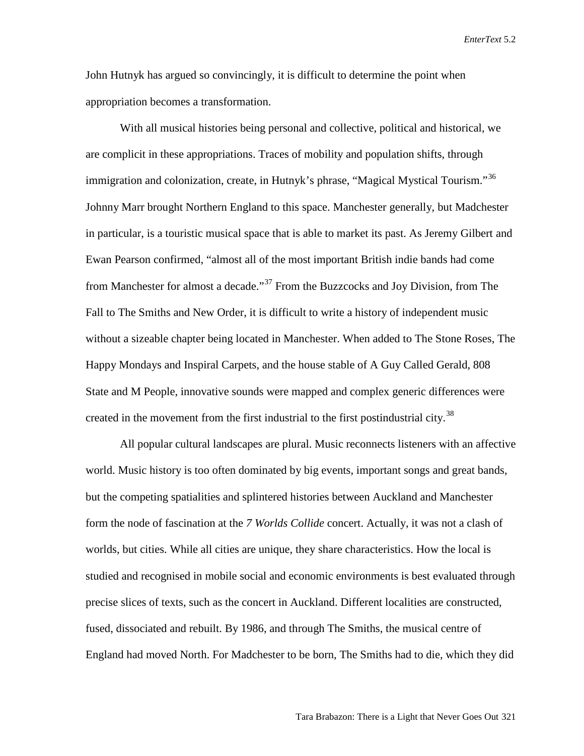John Hutnyk has argued so convincingly, it is difficult to determine the point when appropriation becomes a transformation.

With all musical histories being personal and collective, political and historical, we are complicit in these appropriations. Traces of mobility and population shifts, through immigration and colonization, create, in Hutnyk's phrase, "Magical Mystical Tourism."<sup>[36](#page-19-31)</sup> Johnny Marr brought Northern England to this space. Manchester generally, but Madchester in particular, is a touristic musical space that is able to market its past. As Jeremy Gilbert and Ewan Pearson confirmed, "almost all of the most important British indie bands had come from Manchester for almost a decade."[37](#page-19-32) From the Buzzcocks and Joy Division, from The Fall to The Smiths and New Order, it is difficult to write a history of independent music without a sizeable chapter being located in Manchester. When added to The Stone Roses, The Happy Mondays and Inspiral Carpets, and the house stable of A Guy Called Gerald, 808 State and M People, innovative sounds were mapped and complex generic differences were created in the movement from the first industrial to the first postindustrial city.<sup>[38](#page-19-33)</sup>

All popular cultural landscapes are plural. Music reconnects listeners with an affective world. Music history is too often dominated by big events, important songs and great bands, but the competing spatialities and splintered histories between Auckland and Manchester form the node of fascination at the *7 Worlds Collide* concert. Actually, it was not a clash of worlds, but cities. While all cities are unique, they share characteristics. How the local is studied and recognised in mobile social and economic environments is best evaluated through precise slices of texts, such as the concert in Auckland. Different localities are constructed, fused, dissociated and rebuilt. By 1986, and through The Smiths, the musical centre of England had moved North. For Madchester to be born, The Smiths had to die, which they did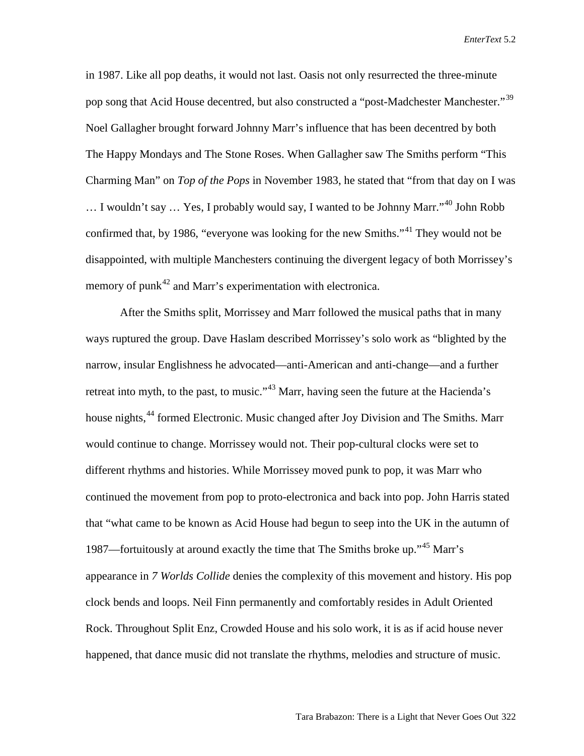in 1987. Like all pop deaths, it would not last. Oasis not only resurrected the three-minute pop song that Acid House decentred, but also constructed a "post-Madchester Manchester."<sup>[39](#page-19-34)</sup> Noel Gallagher brought forward Johnny Marr's influence that has been decentred by both The Happy Mondays and The Stone Roses. When Gallagher saw The Smiths perform "This Charming Man" on *Top of the Pops* in November 1983, he stated that "from that day on I was … I wouldn't say … Yes, I probably would say, I wanted to be Johnny Marr."[40](#page-19-35) John Robb confirmed that, by 1986, "everyone was looking for the new Smiths."[41](#page-19-36) They would not be disappointed, with multiple Manchesters continuing the divergent legacy of both Morrissey's memory of punk<sup>[42](#page-19-37)</sup> and Marr's experimentation with electronica.

After the Smiths split, Morrissey and Marr followed the musical paths that in many ways ruptured the group. Dave Haslam described Morrissey's solo work as "blighted by the narrow, insular Englishness he advocated—anti-American and anti-change—and a further retreat into myth, to the past, to music."<sup>[43](#page-19-38)</sup> Marr, having seen the future at the Hacienda's house nights,<sup>[44](#page-19-39)</sup> formed Electronic. Music changed after Joy Division and The Smiths. Marr would continue to change. Morrissey would not. Their pop-cultural clocks were set to different rhythms and histories. While Morrissey moved punk to pop, it was Marr who continued the movement from pop to proto-electronica and back into pop. John Harris stated that "what came to be known as Acid House had begun to seep into the UK in the autumn of 1987—fortuitously at around exactly the time that The Smiths broke up."[45](#page-19-40) Marr's appearance in *7 Worlds Collide* denies the complexity of this movement and history. His pop clock bends and loops. Neil Finn permanently and comfortably resides in Adult Oriented Rock. Throughout Split Enz, Crowded House and his solo work, it is as if acid house never happened, that dance music did not translate the rhythms, melodies and structure of music.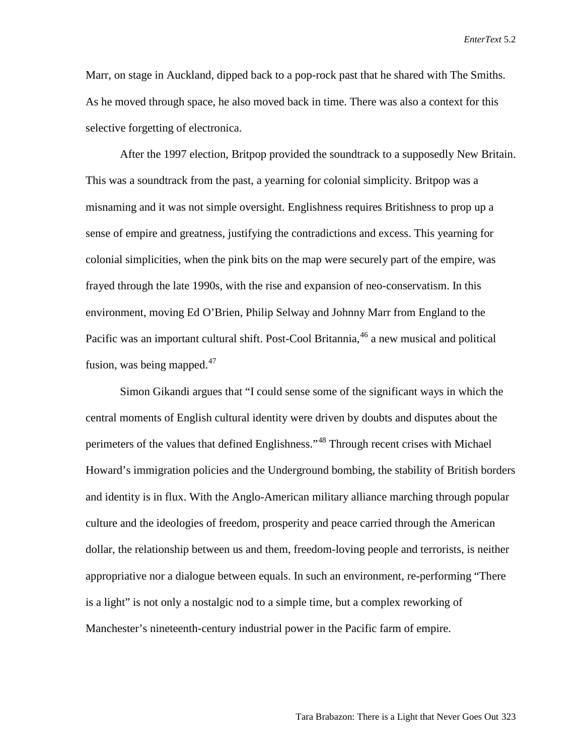Marr, on stage in Auckland, dipped back to a pop-rock past that he shared with The Smiths. As he moved through space, he also moved back in time. There was also a context for this selective forgetting of electronica.

After the 1997 election, Britpop provided the soundtrack to a supposedly New Britain. This was a soundtrack from the past, a yearning for colonial simplicity. Britpop was a misnaming and it was not simple oversight. Englishness requires Britishness to prop up a sense of empire and greatness, justifying the contradictions and excess. This yearning for colonial simplicities, when the pink bits on the map were securely part of the empire, was frayed through the late 1990s, with the rise and expansion of neo-conservatism. In this environment, moving Ed O'Brien, Philip Selway and Johnny Marr from England to the Pacific was an important cultural shift. Post-Cool Britannia,<sup>[46](#page-19-41)</sup> a new musical and political fusion, was being mapped. $47$ 

Simon Gikandi argues that "I could sense some of the significant ways in which the central moments of English cultural identity were driven by doubts and disputes about the perimeters of the values that defined Englishness."[48](#page-19-43) Through recent crises with Michael Howard's immigration policies and the Underground bombing, the stability of British borders and identity is in flux. With the Anglo-American military alliance marching through popular culture and the ideologies of freedom, prosperity and peace carried through the American dollar, the relationship between us and them, freedom-loving people and terrorists, is neither appropriative nor a dialogue between equals. In such an environment, re-performing "There is a light" is not only a nostalgic nod to a simple time, but a complex reworking of Manchester's nineteenth-century industrial power in the Pacific farm of empire.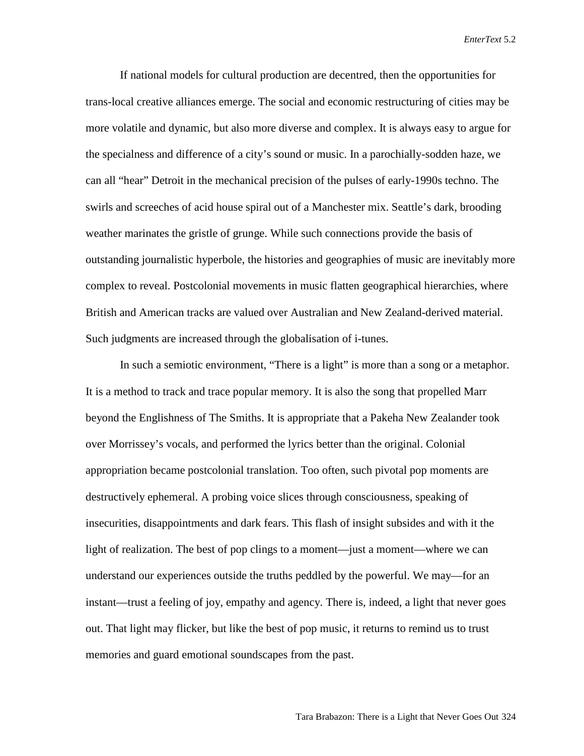If national models for cultural production are decentred, then the opportunities for trans-local creative alliances emerge. The social and economic restructuring of cities may be more volatile and dynamic, but also more diverse and complex. It is always easy to argue for the specialness and difference of a city's sound or music. In a parochially-sodden haze, we can all "hear" Detroit in the mechanical precision of the pulses of early-1990s techno. The swirls and screeches of acid house spiral out of a Manchester mix. Seattle's dark, brooding weather marinates the gristle of grunge. While such connections provide the basis of outstanding journalistic hyperbole, the histories and geographies of music are inevitably more complex to reveal. Postcolonial movements in music flatten geographical hierarchies, where British and American tracks are valued over Australian and New Zealand-derived material. Such judgments are increased through the globalisation of i-tunes.

In such a semiotic environment, "There is a light" is more than a song or a metaphor. It is a method to track and trace popular memory. It is also the song that propelled Marr beyond the Englishness of The Smiths. It is appropriate that a Pakeha New Zealander took over Morrissey's vocals, and performed the lyrics better than the original. Colonial appropriation became postcolonial translation. Too often, such pivotal pop moments are destructively ephemeral. A probing voice slices through consciousness, speaking of insecurities, disappointments and dark fears. This flash of insight subsides and with it the light of realization. The best of pop clings to a moment—just a moment—where we can understand our experiences outside the truths peddled by the powerful. We may—for an instant—trust a feeling of joy, empathy and agency. There is, indeed, a light that never goes out. That light may flicker, but like the best of pop music, it returns to remind us to trust memories and guard emotional soundscapes from the past.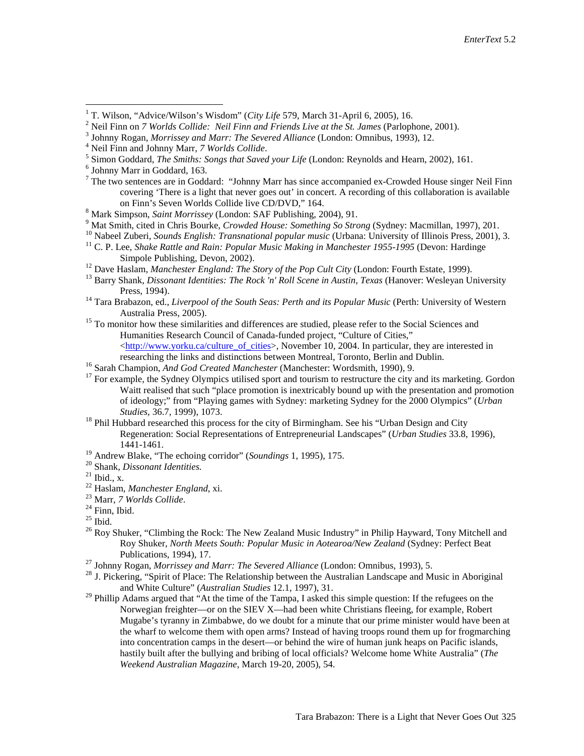covering 'There is a light that never goes out' in concert. A recording of this collaboration is available on Finn's Seven Worlds Collide live CD/DVD," 164.

- <sup>8</sup> Mark Simpson, *Saint Morrissey* (London: SAF Publishing, 2004), 91.<br>
<sup>9</sup> Mat Smith, cited in Chris Bourke, *Crowded House: Something So Strong* (Sydney: Macmillan, 1997), 201.<br>
<sup>10</sup> Nabeel Zuberi, *Sounds English: Tra*
- 
- <sup>12</sup> Dave Haslam, *Manchester England: The Story of the Pop Cult City* (London: Fourth Estate, 1999).<br><sup>13</sup> Barry Shank, *Dissonant Identities: The Rock 'n' Roll Scene in Austin, Texas (Hanover: Wesleyan University* Press, 1994). <sup>14</sup> Tara Brabazon, ed., *Liverpool of the South Seas: Perth and its Popular Music* (Perth: University of Western
- Australia Press, 2005). <sup>15</sup> To monitor how these similarities and differences are studied, please refer to the Social Sciences and
- Humanities Research Council of Canada-funded project, "Culture of Cities,"

[<http://www.yorku.ca/culture\\_of\\_cities>](http://www.yorku.ca/culture_of_cities), November 10, 2004. In particular, they are interested in researching the links and distinctions between Montreal, Toronto, Berlin and Dublin.

- 
- <sup>16</sup> Sarah Champion, *And God Created Manchester* (Manchester: Wordsmith, 1990), 9.<br><sup>17</sup> For example, the Sydney Olympics utilised sport and tourism to restructure the city and its marketing. Gordon Waitt realised that such "place promotion is inextricably bound up with the presentation and promotion of ideology;" from "Playing games with Sydney: marketing Sydney for the 2000 Olympics" (*Urban Studies*, 36.7, 1999), 1073.<br><sup>18</sup> Phil Hubbard researched this process for the city of Birmingham. See his "Urban Design and City

Regeneration: Social Representations of Entrepreneurial Landscapes" (*Urban Studies* 33.8, 1996), 1441-1461.<br>
<sup>19</sup> Andrew Blake, "The echoing corridor" (*Soundings* 1, 1995), 175.<br>
<sup>20</sup> Shank, *Dissonant Identities*.<br>
<sup>21</sup> Ibid., x.<br>
<sup>22</sup> Haslam, *Manchester England*, xi.<br>
<sup>23</sup> Marr, *7 Worlds Collide*.<br>
<sup>24</sup> Finn, Ib

- 
- 
- 
- 
- 
- 
- 
- Roy Shuker, *North Meets South: Popular Music in Aotearoa/New Zealand* (Sydney: Perfect Beat
- 
- Publications, 1994), 17.<br><sup>27</sup> Johnny Rogan, *Morrissey and Marr: The Severed Alliance* (London: Omnibus, 1993), 5.<br><sup>28</sup> J. Pickering, "Spirit of Place: The Relationship between the Australian Landscape and Music in Aborigi and White Culture" (*Australian Studies* 12.1, 1997), 31.<br><sup>29</sup> Phillip Adams argued that "At the time of the Tampa, I asked this simple question: If the refugees on the
- Norwegian freighter—or on the SIEV X—had been white Christians fleeing, for example, Robert Mugabe's tyranny in Zimbabwe, do we doubt for a minute that our prime minister would have been at the wharf to welcome them with open arms? Instead of having troops round them up for frogmarching into concentration camps in the desert—or behind the wire of human junk heaps on Pacific islands, hastily built after the bullying and bribing of local officials? Welcome home White Australia" (*The Weekend Australian Magazine*, March 19-20, 2005), 54.

<span id="page-18-2"></span>

<span id="page-18-3"></span>

<span id="page-18-1"></span><span id="page-18-0"></span><sup>&</sup>lt;sup>1</sup> T. Wilson, "Advice/Wilson's Wisdom" (*City Life 579*, March 31-April 6, 2005), 16.<br><sup>2</sup> Neil Finn on 7 *Worlds Collide: Neil Finn and Friends Live at the St. James* (Parlophone, 2001).<br><sup>3</sup> Johnny Rogan, *Morrissey and*